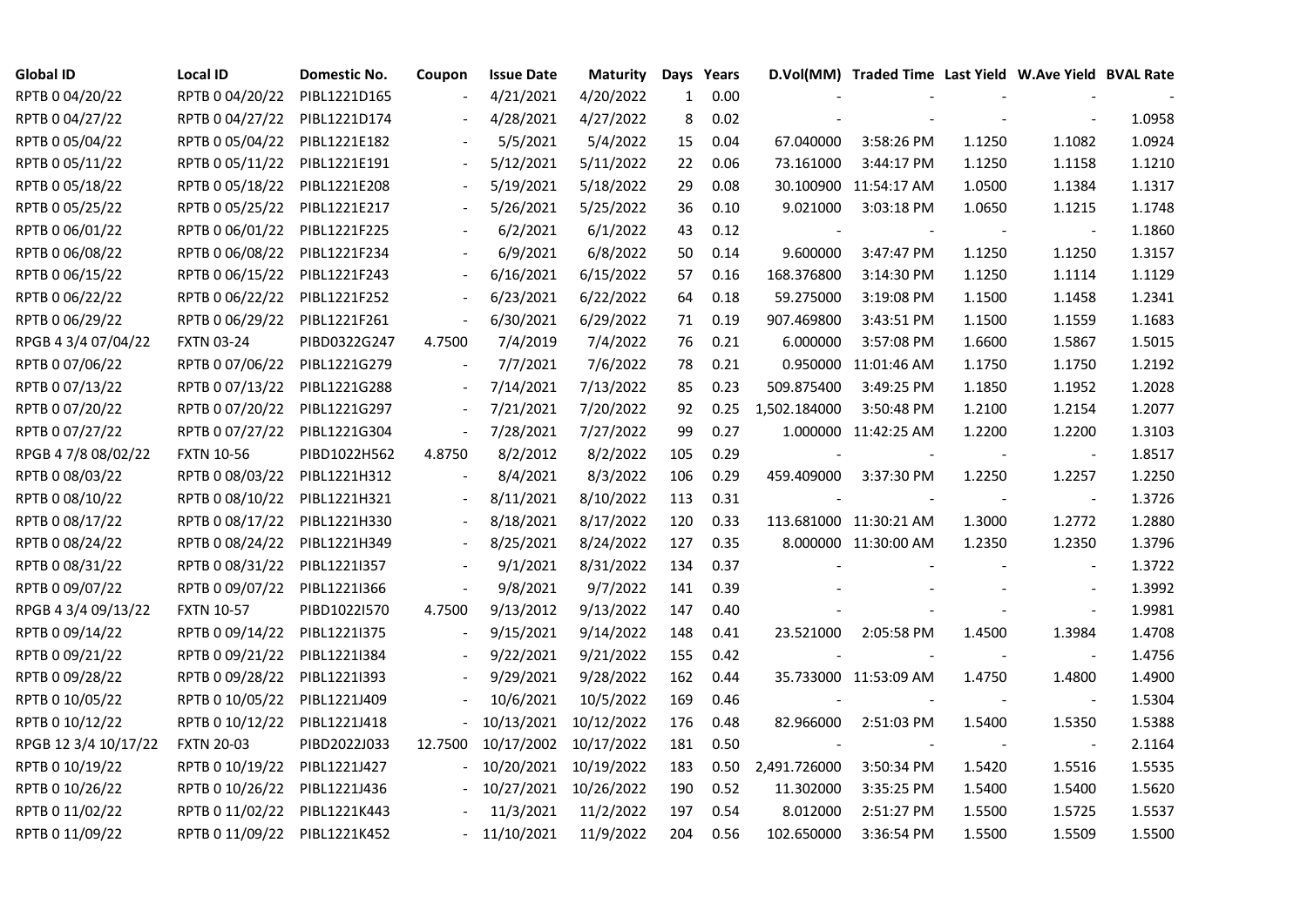| <b>Global ID</b>     | <b>Local ID</b>   | Domestic No. | Coupon  | <b>Issue Date</b> | <b>Maturity</b> |                 | Days Years |              | D.Vol(MM) Traded Time Last Yield W.Ave Yield BVAL Rate |        |                          |        |
|----------------------|-------------------|--------------|---------|-------------------|-----------------|-----------------|------------|--------------|--------------------------------------------------------|--------|--------------------------|--------|
| RPTB 0 04/20/22      | RPTB 0 04/20/22   | PIBL1221D165 |         | 4/21/2021         | 4/20/2022       | $\mathbf{1}$    | 0.00       |              |                                                        |        |                          |        |
| RPTB 0 04/27/22      | RPTB 0 04/27/22   | PIBL1221D174 |         | 4/28/2021         | 4/27/2022       | 8               | 0.02       |              |                                                        |        |                          | 1.0958 |
| RPTB 0 05/04/22      | RPTB 0 05/04/22   | PIBL1221E182 |         | 5/5/2021          | 5/4/2022        | 15              | 0.04       | 67.040000    | 3:58:26 PM                                             | 1.1250 | 1.1082                   | 1.0924 |
| RPTB 0 05/11/22      | RPTB 0 05/11/22   | PIBL1221E191 |         | 5/12/2021         | 5/11/2022       | 22 <sub>2</sub> | 0.06       | 73.161000    | 3:44:17 PM                                             | 1.1250 | 1.1158                   | 1.1210 |
| RPTB 0 05/18/22      | RPTB 0 05/18/22   | PIBL1221E208 |         | 5/19/2021         | 5/18/2022       | 29              | 0.08       |              | 30.100900 11:54:17 AM                                  | 1.0500 | 1.1384                   | 1.1317 |
| RPTB 0 05/25/22      | RPTB 0 05/25/22   | PIBL1221E217 |         | 5/26/2021         | 5/25/2022       | 36              | 0.10       | 9.021000     | 3:03:18 PM                                             | 1.0650 | 1.1215                   | 1.1748 |
| RPTB 0 06/01/22      | RPTB 0 06/01/22   | PIBL1221F225 |         | 6/2/2021          | 6/1/2022        | 43              | 0.12       |              |                                                        |        | $\blacksquare$           | 1.1860 |
| RPTB 0 06/08/22      | RPTB 0 06/08/22   | PIBL1221F234 |         | 6/9/2021          | 6/8/2022        | 50              | 0.14       | 9.600000     | 3:47:47 PM                                             | 1.1250 | 1.1250                   | 1.3157 |
| RPTB 0 06/15/22      | RPTB 0 06/15/22   | PIBL1221F243 |         | 6/16/2021         | 6/15/2022       | 57              | 0.16       | 168.376800   | 3:14:30 PM                                             | 1.1250 | 1.1114                   | 1.1129 |
| RPTB 0 06/22/22      | RPTB 0 06/22/22   | PIBL1221F252 |         | 6/23/2021         | 6/22/2022       | 64              | 0.18       | 59.275000    | 3:19:08 PM                                             | 1.1500 | 1.1458                   | 1.2341 |
| RPTB 0 06/29/22      | RPTB 0 06/29/22   | PIBL1221F261 |         | 6/30/2021         | 6/29/2022       | 71              | 0.19       | 907.469800   | 3:43:51 PM                                             | 1.1500 | 1.1559                   | 1.1683 |
| RPGB 4 3/4 07/04/22  | <b>FXTN 03-24</b> | PIBD0322G247 | 4.7500  | 7/4/2019          | 7/4/2022        | 76              | 0.21       | 6.000000     | 3:57:08 PM                                             | 1.6600 | 1.5867                   | 1.5015 |
| RPTB 0 07/06/22      | RPTB 0 07/06/22   | PIBL1221G279 |         | 7/7/2021          | 7/6/2022        | 78              | 0.21       |              | 0.950000 11:01:46 AM                                   | 1.1750 | 1.1750                   | 1.2192 |
| RPTB 0 07/13/22      | RPTB 0 07/13/22   | PIBL1221G288 |         | 7/14/2021         | 7/13/2022       | 85              | 0.23       | 509.875400   | 3:49:25 PM                                             | 1.1850 | 1.1952                   | 1.2028 |
| RPTB 0 07/20/22      | RPTB 0 07/20/22   | PIBL1221G297 |         | 7/21/2021         | 7/20/2022       | 92              | 0.25       | 1,502.184000 | 3:50:48 PM                                             | 1.2100 | 1.2154                   | 1.2077 |
| RPTB 0 07/27/22      | RPTB 0 07/27/22   | PIBL1221G304 |         | 7/28/2021         | 7/27/2022       | 99              | 0.27       |              | 1.000000 11:42:25 AM                                   | 1.2200 | 1.2200                   | 1.3103 |
| RPGB 4 7/8 08/02/22  | <b>FXTN 10-56</b> | PIBD1022H562 | 4.8750  | 8/2/2012          | 8/2/2022        | 105             | 0.29       |              |                                                        |        | $\overline{\phantom{a}}$ | 1.8517 |
| RPTB 0 08/03/22      | RPTB 0 08/03/22   | PIBL1221H312 |         | 8/4/2021          | 8/3/2022        | 106             | 0.29       | 459.409000   | 3:37:30 PM                                             | 1.2250 | 1.2257                   | 1.2250 |
| RPTB 0 08/10/22      | RPTB 0 08/10/22   | PIBL1221H321 |         | 8/11/2021         | 8/10/2022       | 113             | 0.31       |              |                                                        |        | $\blacksquare$           | 1.3726 |
| RPTB 0 08/17/22      | RPTB 0 08/17/22   | PIBL1221H330 |         | 8/18/2021         | 8/17/2022       | 120             | 0.33       |              | 113.681000 11:30:21 AM                                 | 1.3000 | 1.2772                   | 1.2880 |
| RPTB 0 08/24/22      | RPTB 0 08/24/22   | PIBL1221H349 |         | 8/25/2021         | 8/24/2022       | 127             | 0.35       |              | 8.000000 11:30:00 AM                                   | 1.2350 | 1.2350                   | 1.3796 |
| RPTB 0 08/31/22      | RPTB 0 08/31/22   | PIBL1221I357 |         | 9/1/2021          | 8/31/2022       | 134             | 0.37       |              |                                                        |        |                          | 1.3722 |
| RPTB 0 09/07/22      | RPTB 0 09/07/22   | PIBL1221I366 |         | 9/8/2021          | 9/7/2022        | 141             | 0.39       |              |                                                        |        |                          | 1.3992 |
| RPGB 4 3/4 09/13/22  | <b>FXTN 10-57</b> | PIBD1022I570 | 4.7500  | 9/13/2012         | 9/13/2022       | 147             | 0.40       |              |                                                        |        | $\blacksquare$           | 1.9981 |
| RPTB 0 09/14/22      | RPTB 0 09/14/22   | PIBL1221I375 |         | 9/15/2021         | 9/14/2022       | 148             | 0.41       | 23.521000    | 2:05:58 PM                                             | 1.4500 | 1.3984                   | 1.4708 |
| RPTB 0 09/21/22      | RPTB 0 09/21/22   | PIBL1221I384 |         | 9/22/2021         | 9/21/2022       | 155             | 0.42       |              |                                                        |        | $\blacksquare$           | 1.4756 |
| RPTB 0 09/28/22      | RPTB 0 09/28/22   | PIBL1221I393 |         | 9/29/2021         | 9/28/2022       | 162             | 0.44       |              | 35.733000 11:53:09 AM                                  | 1.4750 | 1.4800                   | 1.4900 |
| RPTB 0 10/05/22      | RPTB 0 10/05/22   | PIBL1221J409 |         | 10/6/2021         | 10/5/2022       | 169             | 0.46       |              |                                                        |        | $\blacksquare$           | 1.5304 |
| RPTB 0 10/12/22      | RPTB 0 10/12/22   | PIBL1221J418 |         | 10/13/2021        | 10/12/2022      | 176             | 0.48       | 82.966000    | 2:51:03 PM                                             | 1.5400 | 1.5350                   | 1.5388 |
| RPGB 12 3/4 10/17/22 | <b>FXTN 20-03</b> | PIBD2022J033 | 12.7500 | 10/17/2002        | 10/17/2022      | 181             | 0.50       |              |                                                        |        |                          | 2.1164 |
| RPTB 0 10/19/22      | RPTB 0 10/19/22   | PIBL1221J427 |         | 10/20/2021        | 10/19/2022      | 183             | 0.50       | 2,491.726000 | 3:50:34 PM                                             | 1.5420 | 1.5516                   | 1.5535 |
| RPTB 0 10/26/22      | RPTB 0 10/26/22   | PIBL1221J436 |         | 10/27/2021        | 10/26/2022      | 190             | 0.52       | 11.302000    | 3:35:25 PM                                             | 1.5400 | 1.5400                   | 1.5620 |
| RPTB 0 11/02/22      | RPTB 0 11/02/22   | PIBL1221K443 |         | 11/3/2021         | 11/2/2022       | 197             | 0.54       | 8.012000     | 2:51:27 PM                                             | 1.5500 | 1.5725                   | 1.5537 |
| RPTB 0 11/09/22      | RPTB 0 11/09/22   | PIBL1221K452 |         | $-11/10/2021$     | 11/9/2022       | 204             | 0.56       | 102.650000   | 3:36:54 PM                                             | 1.5500 | 1.5509                   | 1.5500 |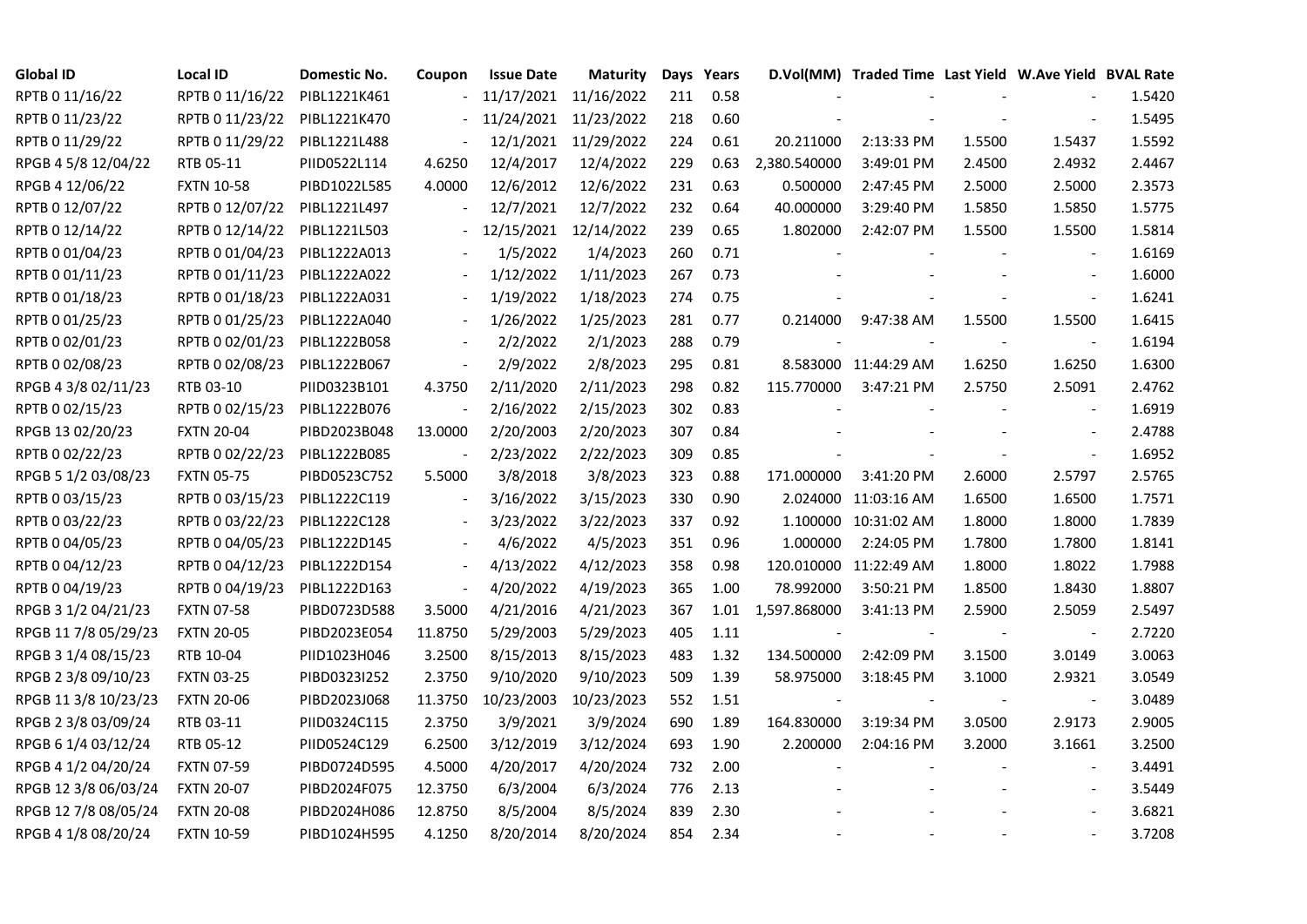| <b>Global ID</b>     | <b>Local ID</b>   | Domestic No. | Coupon                   | <b>Issue Date</b> | <b>Maturity</b> |     | Days Years |                          | D.Vol(MM) Traded Time Last Yield W.Ave Yield BVAL Rate |        |                          |        |
|----------------------|-------------------|--------------|--------------------------|-------------------|-----------------|-----|------------|--------------------------|--------------------------------------------------------|--------|--------------------------|--------|
| RPTB 0 11/16/22      | RPTB 0 11/16/22   | PIBL1221K461 |                          | 11/17/2021        | 11/16/2022      | 211 | 0.58       |                          |                                                        |        |                          | 1.5420 |
| RPTB 0 11/23/22      | RPTB 0 11/23/22   | PIBL1221K470 |                          | 11/24/2021        | 11/23/2022      | 218 | 0.60       |                          |                                                        |        |                          | 1.5495 |
| RPTB 0 11/29/22      | RPTB 0 11/29/22   | PIBL1221L488 |                          | 12/1/2021         | 11/29/2022      | 224 | 0.61       | 20.211000                | 2:13:33 PM                                             | 1.5500 | 1.5437                   | 1.5592 |
| RPGB 4 5/8 12/04/22  | RTB 05-11         | PIID0522L114 | 4.6250                   | 12/4/2017         | 12/4/2022       | 229 | 0.63       | 2,380.540000             | 3:49:01 PM                                             | 2.4500 | 2.4932                   | 2.4467 |
| RPGB 4 12/06/22      | <b>FXTN 10-58</b> | PIBD1022L585 | 4.0000                   | 12/6/2012         | 12/6/2022       | 231 | 0.63       | 0.500000                 | 2:47:45 PM                                             | 2.5000 | 2.5000                   | 2.3573 |
| RPTB 0 12/07/22      | RPTB 0 12/07/22   | PIBL1221L497 |                          | 12/7/2021         | 12/7/2022       | 232 | 0.64       | 40.000000                | 3:29:40 PM                                             | 1.5850 | 1.5850                   | 1.5775 |
| RPTB 0 12/14/22      | RPTB 0 12/14/22   | PIBL1221L503 |                          | 12/15/2021        | 12/14/2022      | 239 | 0.65       | 1.802000                 | 2:42:07 PM                                             | 1.5500 | 1.5500                   | 1.5814 |
| RPTB 0 01/04/23      | RPTB 0 01/04/23   | PIBL1222A013 |                          | 1/5/2022          | 1/4/2023        | 260 | 0.71       |                          |                                                        |        | $\overline{\phantom{a}}$ | 1.6169 |
| RPTB 0 01/11/23      | RPTB 0 01/11/23   | PIBL1222A022 |                          | 1/12/2022         | 1/11/2023       | 267 | 0.73       |                          |                                                        |        |                          | 1.6000 |
| RPTB 0 01/18/23      | RPTB 0 01/18/23   | PIBL1222A031 |                          | 1/19/2022         | 1/18/2023       | 274 | 0.75       |                          |                                                        |        | $\overline{\phantom{a}}$ | 1.6241 |
| RPTB 0 01/25/23      | RPTB 0 01/25/23   | PIBL1222A040 |                          | 1/26/2022         | 1/25/2023       | 281 | 0.77       | 0.214000                 | 9:47:38 AM                                             | 1.5500 | 1.5500                   | 1.6415 |
| RPTB 0 02/01/23      | RPTB 0 02/01/23   | PIBL1222B058 |                          | 2/2/2022          | 2/1/2023        | 288 | 0.79       |                          |                                                        |        | $\blacksquare$           | 1.6194 |
| RPTB 0 02/08/23      | RPTB 0 02/08/23   | PIBL1222B067 | $\overline{\phantom{a}}$ | 2/9/2022          | 2/8/2023        | 295 | 0.81       |                          | 8.583000 11:44:29 AM                                   | 1.6250 | 1.6250                   | 1.6300 |
| RPGB 4 3/8 02/11/23  | RTB 03-10         | PIID0323B101 | 4.3750                   | 2/11/2020         | 2/11/2023       | 298 | 0.82       | 115.770000               | 3:47:21 PM                                             | 2.5750 | 2.5091                   | 2.4762 |
| RPTB 0 02/15/23      | RPTB 0 02/15/23   | PIBL1222B076 |                          | 2/16/2022         | 2/15/2023       | 302 | 0.83       |                          |                                                        |        | $\overline{\phantom{a}}$ | 1.6919 |
| RPGB 13 02/20/23     | <b>FXTN 20-04</b> | PIBD2023B048 | 13.0000                  | 2/20/2003         | 2/20/2023       | 307 | 0.84       |                          |                                                        |        |                          | 2.4788 |
| RPTB 0 02/22/23      | RPTB 0 02/22/23   | PIBL1222B085 |                          | 2/23/2022         | 2/22/2023       | 309 | 0.85       |                          |                                                        |        | $\overline{\phantom{a}}$ | 1.6952 |
| RPGB 5 1/2 03/08/23  | <b>FXTN 05-75</b> | PIBD0523C752 | 5.5000                   | 3/8/2018          | 3/8/2023        | 323 | 0.88       | 171.000000               | 3:41:20 PM                                             | 2.6000 | 2.5797                   | 2.5765 |
| RPTB 0 03/15/23      | RPTB 0 03/15/23   | PIBL1222C119 |                          | 3/16/2022         | 3/15/2023       | 330 | 0.90       |                          | 2.024000 11:03:16 AM                                   | 1.6500 | 1.6500                   | 1.7571 |
| RPTB 0 03/22/23      | RPTB 0 03/22/23   | PIBL1222C128 |                          | 3/23/2022         | 3/22/2023       | 337 | 0.92       |                          | 1.100000 10:31:02 AM                                   | 1.8000 | 1.8000                   | 1.7839 |
| RPTB 0 04/05/23      | RPTB 0 04/05/23   | PIBL1222D145 |                          | 4/6/2022          | 4/5/2023        | 351 | 0.96       | 1.000000                 | 2:24:05 PM                                             | 1.7800 | 1.7800                   | 1.8141 |
| RPTB 0 04/12/23      | RPTB 0 04/12/23   | PIBL1222D154 |                          | 4/13/2022         | 4/12/2023       | 358 | 0.98       |                          | 120.010000 11:22:49 AM                                 | 1.8000 | 1.8022                   | 1.7988 |
| RPTB 0 04/19/23      | RPTB 0 04/19/23   | PIBL1222D163 |                          | 4/20/2022         | 4/19/2023       | 365 | 1.00       | 78.992000                | 3:50:21 PM                                             | 1.8500 | 1.8430                   | 1.8807 |
| RPGB 3 1/2 04/21/23  | <b>FXTN 07-58</b> | PIBD0723D588 | 3.5000                   | 4/21/2016         | 4/21/2023       | 367 | 1.01       | 1,597.868000             | $3:41:13$ PM                                           | 2.5900 | 2.5059                   | 2.5497 |
| RPGB 11 7/8 05/29/23 | <b>FXTN 20-05</b> | PIBD2023E054 | 11.8750                  | 5/29/2003         | 5/29/2023       | 405 | 1.11       |                          |                                                        |        | $\overline{\phantom{a}}$ | 2.7220 |
| RPGB 3 1/4 08/15/23  | RTB 10-04         | PIID1023H046 | 3.2500                   | 8/15/2013         | 8/15/2023       | 483 | 1.32       | 134.500000               | 2:42:09 PM                                             | 3.1500 | 3.0149                   | 3.0063 |
| RPGB 2 3/8 09/10/23  | <b>FXTN 03-25</b> | PIBD0323I252 | 2.3750                   | 9/10/2020         | 9/10/2023       | 509 | 1.39       | 58.975000                | 3:18:45 PM                                             | 3.1000 | 2.9321                   | 3.0549 |
| RPGB 11 3/8 10/23/23 | <b>FXTN 20-06</b> | PIBD2023J068 | 11.3750                  | 10/23/2003        | 10/23/2023      | 552 | 1.51       | $\overline{\phantom{a}}$ |                                                        |        | $\blacksquare$           | 3.0489 |
| RPGB 2 3/8 03/09/24  | RTB 03-11         | PIID0324C115 | 2.3750                   | 3/9/2021          | 3/9/2024        | 690 | 1.89       | 164.830000               | 3:19:34 PM                                             | 3.0500 | 2.9173                   | 2.9005 |
| RPGB 6 1/4 03/12/24  | RTB 05-12         | PIID0524C129 | 6.2500                   | 3/12/2019         | 3/12/2024       | 693 | 1.90       | 2.200000                 | 2:04:16 PM                                             | 3.2000 | 3.1661                   | 3.2500 |
| RPGB 4 1/2 04/20/24  | <b>FXTN 07-59</b> | PIBD0724D595 | 4.5000                   | 4/20/2017         | 4/20/2024       | 732 | 2.00       |                          |                                                        |        |                          | 3.4491 |
| RPGB 12 3/8 06/03/24 | <b>FXTN 20-07</b> | PIBD2024F075 | 12.3750                  | 6/3/2004          | 6/3/2024        | 776 | 2.13       |                          |                                                        |        | $\overline{\phantom{a}}$ | 3.5449 |
| RPGB 12 7/8 08/05/24 | <b>FXTN 20-08</b> | PIBD2024H086 | 12.8750                  | 8/5/2004          | 8/5/2024        | 839 | 2.30       |                          |                                                        |        |                          | 3.6821 |
| RPGB 4 1/8 08/20/24  | <b>FXTN 10-59</b> | PIBD1024H595 | 4.1250                   | 8/20/2014         | 8/20/2024       | 854 | 2.34       |                          |                                                        |        | $\blacksquare$           | 3.7208 |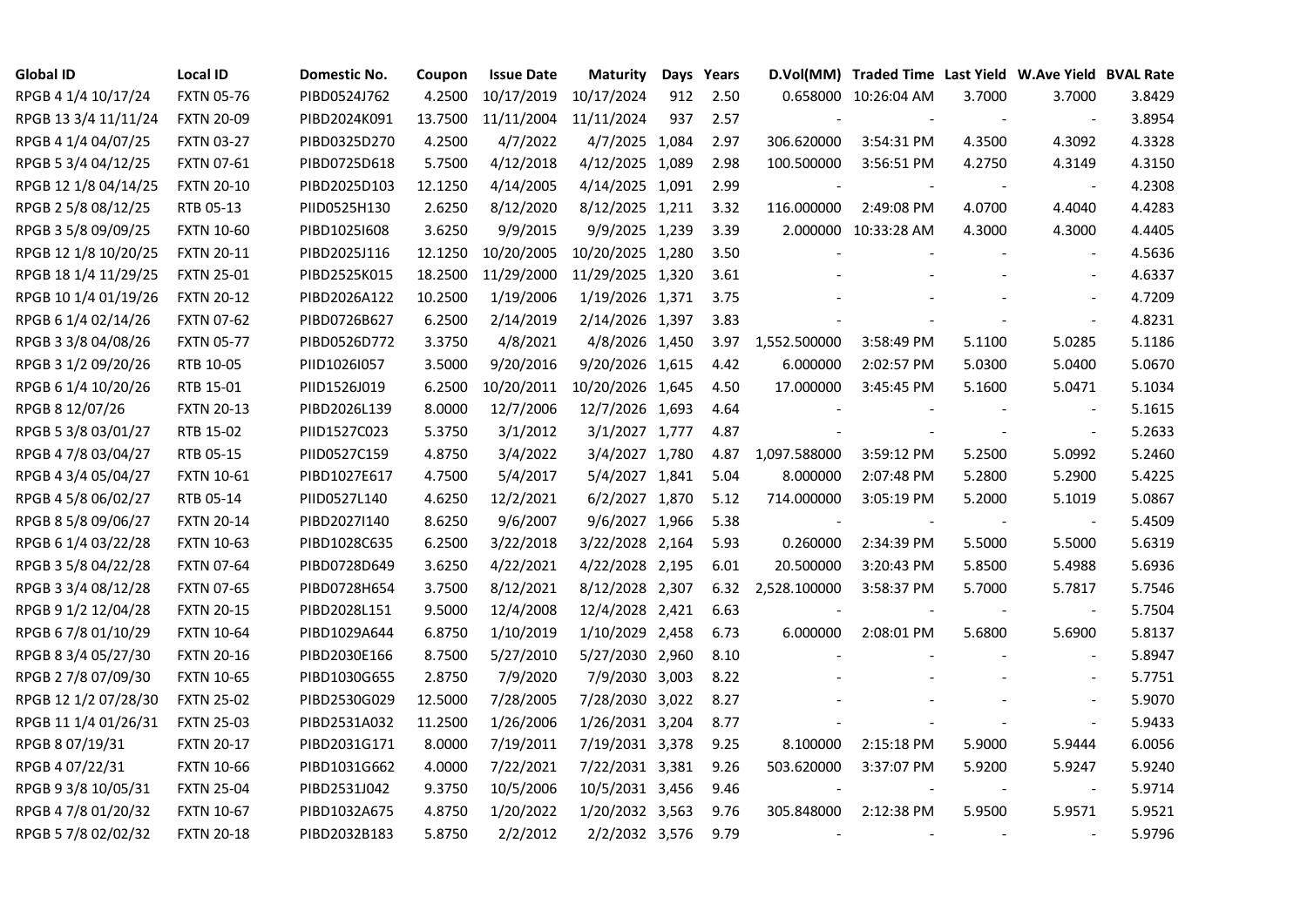| <b>Global ID</b>     | <b>Local ID</b>   | Domestic No. | Coupon  | <b>Issue Date</b> | <b>Maturity</b>  |     | Days Years |                          | D.Vol(MM) Traded Time Last Yield W.Ave Yield BVAL Rate |        |                          |        |
|----------------------|-------------------|--------------|---------|-------------------|------------------|-----|------------|--------------------------|--------------------------------------------------------|--------|--------------------------|--------|
| RPGB 4 1/4 10/17/24  | <b>FXTN 05-76</b> | PIBD0524J762 | 4.2500  | 10/17/2019        | 10/17/2024       | 912 | 2.50       |                          | 0.658000 10:26:04 AM                                   | 3.7000 | 3.7000                   | 3.8429 |
| RPGB 13 3/4 11/11/24 | <b>FXTN 20-09</b> | PIBD2024K091 | 13.7500 | 11/11/2004        | 11/11/2024       | 937 | 2.57       |                          |                                                        |        | $\overline{\phantom{a}}$ | 3.8954 |
| RPGB 4 1/4 04/07/25  | <b>FXTN 03-27</b> | PIBD0325D270 | 4.2500  | 4/7/2022          | 4/7/2025 1,084   |     | 2.97       | 306.620000               | 3:54:31 PM                                             | 4.3500 | 4.3092                   | 4.3328 |
| RPGB 5 3/4 04/12/25  | FXTN 07-61        | PIBD0725D618 | 5.7500  | 4/12/2018         | 4/12/2025 1,089  |     | 2.98       | 100.500000               | 3:56:51 PM                                             | 4.2750 | 4.3149                   | 4.3150 |
| RPGB 12 1/8 04/14/25 | <b>FXTN 20-10</b> | PIBD2025D103 | 12.1250 | 4/14/2005         | 4/14/2025 1,091  |     | 2.99       |                          |                                                        |        | $\overline{\phantom{a}}$ | 4.2308 |
| RPGB 2 5/8 08/12/25  | RTB 05-13         | PIID0525H130 | 2.6250  | 8/12/2020         | 8/12/2025 1,211  |     | 3.32       | 116.000000               | 2:49:08 PM                                             | 4.0700 | 4.4040                   | 4.4283 |
| RPGB 3 5/8 09/09/25  | <b>FXTN 10-60</b> | PIBD10251608 | 3.6250  | 9/9/2015          | 9/9/2025 1,239   |     | 3.39       |                          | 2.000000 10:33:28 AM                                   | 4.3000 | 4.3000                   | 4.4405 |
| RPGB 12 1/8 10/20/25 | <b>FXTN 20-11</b> | PIBD2025J116 | 12.1250 | 10/20/2005        | 10/20/2025 1,280 |     | 3.50       |                          |                                                        |        |                          | 4.5636 |
| RPGB 18 1/4 11/29/25 | <b>FXTN 25-01</b> | PIBD2525K015 | 18.2500 | 11/29/2000        | 11/29/2025 1,320 |     | 3.61       |                          |                                                        |        |                          | 4.6337 |
| RPGB 10 1/4 01/19/26 | <b>FXTN 20-12</b> | PIBD2026A122 | 10.2500 | 1/19/2006         | 1/19/2026 1,371  |     | 3.75       |                          |                                                        |        | $\overline{\phantom{a}}$ | 4.7209 |
| RPGB 6 1/4 02/14/26  | <b>FXTN 07-62</b> | PIBD0726B627 | 6.2500  | 2/14/2019         | 2/14/2026 1,397  |     | 3.83       |                          |                                                        |        | $\blacksquare$           | 4.8231 |
| RPGB 3 3/8 04/08/26  | <b>FXTN 05-77</b> | PIBD0526D772 | 3.3750  | 4/8/2021          | 4/8/2026 1,450   |     | 3.97       | 1,552.500000             | 3:58:49 PM                                             | 5.1100 | 5.0285                   | 5.1186 |
| RPGB 3 1/2 09/20/26  | RTB 10-05         | PIID1026I057 | 3.5000  | 9/20/2016         | 9/20/2026 1,615  |     | 4.42       | 6.000000                 | 2:02:57 PM                                             | 5.0300 | 5.0400                   | 5.0670 |
| RPGB 6 1/4 10/20/26  | RTB 15-01         | PIID1526J019 | 6.2500  | 10/20/2011        | 10/20/2026 1,645 |     | 4.50       | 17.000000                | 3:45:45 PM                                             | 5.1600 | 5.0471                   | 5.1034 |
| RPGB 8 12/07/26      | <b>FXTN 20-13</b> | PIBD2026L139 | 8.0000  | 12/7/2006         | 12/7/2026 1,693  |     | 4.64       |                          |                                                        |        | $\overline{\phantom{a}}$ | 5.1615 |
| RPGB 5 3/8 03/01/27  | RTB 15-02         | PIID1527C023 | 5.3750  | 3/1/2012          | 3/1/2027 1,777   |     | 4.87       |                          |                                                        |        | $\overline{a}$           | 5.2633 |
| RPGB 4 7/8 03/04/27  | RTB 05-15         | PIID0527C159 | 4.8750  | 3/4/2022          | 3/4/2027 1,780   |     | 4.87       | 1,097.588000             | 3:59:12 PM                                             | 5.2500 | 5.0992                   | 5.2460 |
| RPGB 4 3/4 05/04/27  | <b>FXTN 10-61</b> | PIBD1027E617 | 4.7500  | 5/4/2017          | 5/4/2027 1,841   |     | 5.04       | 8.000000                 | 2:07:48 PM                                             | 5.2800 | 5.2900                   | 5.4225 |
| RPGB 4 5/8 06/02/27  | RTB 05-14         | PIID0527L140 | 4.6250  | 12/2/2021         | 6/2/2027 1,870   |     | 5.12       | 714.000000               | 3:05:19 PM                                             | 5.2000 | 5.1019                   | 5.0867 |
| RPGB 8 5/8 09/06/27  | <b>FXTN 20-14</b> | PIBD2027I140 | 8.6250  | 9/6/2007          | 9/6/2027 1,966   |     | 5.38       | $\blacksquare$           |                                                        |        | $\blacksquare$           | 5.4509 |
| RPGB 6 1/4 03/22/28  | <b>FXTN 10-63</b> | PIBD1028C635 | 6.2500  | 3/22/2018         | 3/22/2028 2,164  |     | 5.93       | 0.260000                 | 2:34:39 PM                                             | 5.5000 | 5.5000                   | 5.6319 |
| RPGB 3 5/8 04/22/28  | <b>FXTN 07-64</b> | PIBD0728D649 | 3.6250  | 4/22/2021         | 4/22/2028 2,195  |     | 6.01       | 20.500000                | 3:20:43 PM                                             | 5.8500 | 5.4988                   | 5.6936 |
| RPGB 3 3/4 08/12/28  | <b>FXTN 07-65</b> | PIBD0728H654 | 3.7500  | 8/12/2021         | 8/12/2028 2,307  |     | 6.32       | 2,528.100000             | 3:58:37 PM                                             | 5.7000 | 5.7817                   | 5.7546 |
| RPGB 9 1/2 12/04/28  | <b>FXTN 20-15</b> | PIBD2028L151 | 9.5000  | 12/4/2008         | 12/4/2028 2,421  |     | 6.63       |                          |                                                        |        | $\overline{\phantom{a}}$ | 5.7504 |
| RPGB 67/8 01/10/29   | <b>FXTN 10-64</b> | PIBD1029A644 | 6.8750  | 1/10/2019         | 1/10/2029 2,458  |     | 6.73       | 6.000000                 | 2:08:01 PM                                             | 5.6800 | 5.6900                   | 5.8137 |
| RPGB 8 3/4 05/27/30  | <b>FXTN 20-16</b> | PIBD2030E166 | 8.7500  | 5/27/2010         | 5/27/2030 2,960  |     | 8.10       |                          |                                                        |        | $\overline{\phantom{a}}$ | 5.8947 |
| RPGB 2 7/8 07/09/30  | <b>FXTN 10-65</b> | PIBD1030G655 | 2.8750  | 7/9/2020          | 7/9/2030 3,003   |     | 8.22       |                          |                                                        |        | $\blacksquare$           | 5.7751 |
| RPGB 12 1/2 07/28/30 | <b>FXTN 25-02</b> | PIBD2530G029 | 12.5000 | 7/28/2005         | 7/28/2030 3,022  |     | 8.27       |                          |                                                        |        | $\sim$                   | 5.9070 |
| RPGB 11 1/4 01/26/31 | <b>FXTN 25-03</b> | PIBD2531A032 | 11.2500 | 1/26/2006         | 1/26/2031 3,204  |     | 8.77       |                          |                                                        |        | $\overline{a}$           | 5.9433 |
| RPGB 8 07/19/31      | <b>FXTN 20-17</b> | PIBD2031G171 | 8.0000  | 7/19/2011         | 7/19/2031 3,378  |     | 9.25       | 8.100000                 | 2:15:18 PM                                             | 5.9000 | 5.9444                   | 6.0056 |
| RPGB 4 07/22/31      | <b>FXTN 10-66</b> | PIBD1031G662 | 4.0000  | 7/22/2021         | 7/22/2031 3,381  |     | 9.26       | 503.620000               | 3:37:07 PM                                             | 5.9200 | 5.9247                   | 5.9240 |
| RPGB 9 3/8 10/05/31  | <b>FXTN 25-04</b> | PIBD2531J042 | 9.3750  | 10/5/2006         | 10/5/2031 3,456  |     | 9.46       |                          |                                                        | $\sim$ | $\blacksquare$           | 5.9714 |
| RPGB 4 7/8 01/20/32  | <b>FXTN 10-67</b> | PIBD1032A675 | 4.8750  | 1/20/2022         | 1/20/2032 3,563  |     | 9.76       | 305.848000               | 2:12:38 PM                                             | 5.9500 | 5.9571                   | 5.9521 |
| RPGB 5 7/8 02/02/32  | <b>FXTN 20-18</b> | PIBD2032B183 | 5.8750  | 2/2/2012          | 2/2/2032 3,576   |     | 9.79       | $\overline{\phantom{a}}$ |                                                        |        | $\sim$                   | 5.9796 |